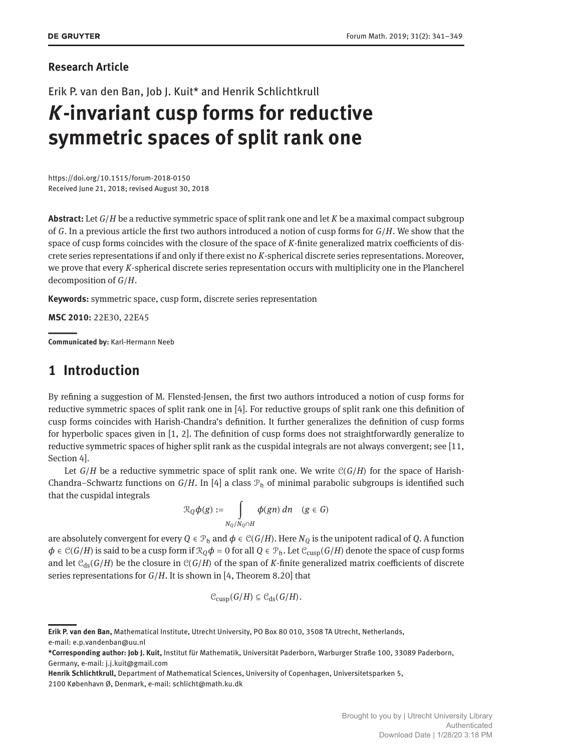#### **Research Article**

Erik P. van den Ban, Job J. Kuit\* and Henrik Schlichtkrull

# *K***-invariant cusp forms for reductive symmetric spaces of split rank one**

https://doi.org/10.1515/forum-2018-0150 Received June 21, 2018; revised August 30, 2018

**Abstract:** Let *G*/*H* be a reductive symmetric space of split rank one and let *K* be a maximal compact subgroup of *G*. In a previous article the first two authors introduced a notion of cusp forms for *G*/*H*. We show that the space of cusp forms coincides with the closure of the space of *K*-finite generalized matrix coefficients of discrete series representations if and only if there exist no *K*-spherical discrete series representations. Moreover, we prove that every *K*-spherical discrete series representation occurs with multiplicity one in the Plancherel decomposition of *G*/*H*.

**Keywords:** symmetric space, cusp form, discrete series representation

**MSC 2010:** 22E30, 22E45

||**Communicated by:** Karl-Hermann Neeb

## **1 Introduction**

By refining a suggestion of M. Flensted-Jensen, the first two authors introduced a notion of cusp forms for reductive symmetric spaces of split rank one in [\[4\]](#page-8-1). For reductive groups of split rank one this definition of cusp forms coincides with Harish-Chandra's definition. It further generalizes the definition of cusp forms for hyperbolic spaces given in [\[1,](#page-8-2) [2\]](#page-8-3). The definition of cusp forms does not straightforwardly generalize to reductive symmetric spaces of higher split rank as the cuspidal integrals are not always convergent; see [\[11,](#page-8-4) Section 4].

Let  $G/H$  be a reductive symmetric space of split rank one. We write  $C(G/H)$  for the space of Harish-Chandra–Schwartz functions on  $G/H$ . In [\[4\]](#page-8-1) a class  $\mathcal{P}_b$  of minimal parabolic subgroups is identified such that the cuspidal integrals

$$
\mathcal{R}_Q\phi(g) := \int\limits_{N_Q/N_Q \cap H} \phi(gn) \, dn \quad (g \in G)
$$

are absolutely convergent for every  $Q \in \mathcal{P}_h$  and  $\phi \in \mathcal{C}(G/H)$ . Here  $N_Q$  is the unipotent radical of *Q*. A function  $\phi \in \mathcal{C}(G/H)$  is said to be a cusp form if  $\mathcal{R}_Q\phi = 0$  for all  $Q \in \mathcal{P}_h$ . Let  $\mathcal{C}_{\text{cusp}}(G/H)$  denote the space of cusp forms and let  $C_{ds}(G/H)$  be the closure in  $C(G/H)$  of the span of *K*-finite generalized matrix coefficients of discrete series representations for *G*/*H*. It is shown in [\[4,](#page-8-1) Theorem 8.20] that

$$
\mathcal{C}_{\text{cusp}}(G/H) \subseteq \mathcal{C}_{\text{ds}}(G/H).
$$

**Erik P. van den Ban,** Mathematical Institute, Utrecht University, PO Box 80 010, 3508 TA Utrecht, Netherlands, e-mail: e.p.vandenban@uu.nl

**<sup>\*</sup>Corresponding author: Job J. Kuit,** Institut für Mathematik, Universität Paderborn, Warburger Straße 100, 33089 Paderborn, Germany, e-mail: j.j.kuit@gmail.com

**Henrik Schlichtkrull,** Department of Mathematical Sciences, University of Copenhagen, Universitetsparken 5, 2100 København Ø, Denmark, e-mail: schlicht@math.ku.dk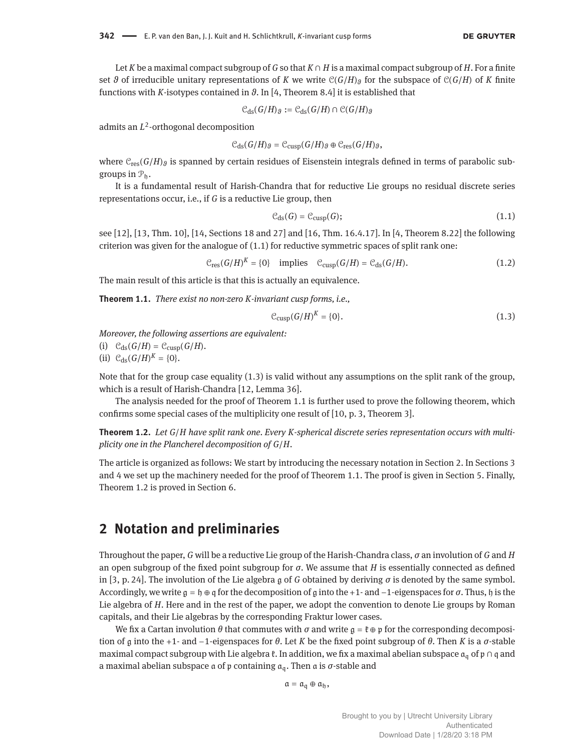Let *K* be a maximal compact subgroup of *G* so that *K* ∩ *H* is a maximal compact subgroup of *H*. For a finite set  $\theta$  of irreducible unitary representations of *K* we write  $C(G/H)$  for the subspace of  $C(G/H)$  of *K* finite functions with *K*-isotypes contained in *ϑ*. In [\[4,](#page-8-1) Theorem 8.4] it is established that

$$
\mathcal{C}_{\mathrm{ds}}(G/H)_{\vartheta} := \mathcal{C}_{\mathrm{ds}}(G/H) \cap \mathcal{C}(G/H)_{\vartheta}
$$

admits an *L* 2 -orthogonal decomposition

$$
\mathcal{C}_{\mathrm{ds}}(G/H)_{\vartheta}=\mathcal{C}_{\mathrm{cusp}}(G/H)_{\vartheta}\oplus \mathcal{C}_{\mathrm{res}}(G/H)_{\vartheta},
$$

where  $C_{res}(G/H)$ <sup> $\beta$ </sup> is spanned by certain residues of Eisenstein integrals defined in terms of parabolic subgroups in  $\mathcal{P}_h$ .

It is a fundamental result of Harish-Chandra that for reductive Lie groups no residual discrete series representations occur, i.e., if *G* is a reductive Lie group, then

<span id="page-1-0"></span>
$$
\mathcal{C}_{\mathrm{ds}}(G) = \mathcal{C}_{\mathrm{cusp}}(G); \tag{1.1}
$$

see [\[12\]](#page-8-5), [\[13,](#page-8-6) Thm. 10], [\[14,](#page-8-7) Sections 18 and 27] and [\[16,](#page-8-8) Thm. 16.4.17]. In [\[4,](#page-8-1) Theorem 8.22] the following criterion was given for the analogue of [\(1.1\)](#page-1-0) for reductive symmetric spaces of split rank one:

<span id="page-1-5"></span>
$$
\mathcal{C}_{\text{res}}(G/H)^K = \{0\} \quad \text{implies} \quad \mathcal{C}_{\text{cusp}}(G/H) = \mathcal{C}_{\text{ds}}(G/H). \tag{1.2}
$$

The main result of this article is that this is actually an equivalence.

<span id="page-1-2"></span>**Theorem 1.1.** *There exist no non-zero K-invariant cusp forms, i.e.,*

<span id="page-1-1"></span>
$$
\mathcal{C}_{\text{cusp}}(G/H)^K = \{0\}.\tag{1.3}
$$

*Moreover, the following assertions are equivalent:*

- (i)  $C_{ds}(G/H) = C_{cusp}(G/H)$ .
- (ii)  $C_{ds}(G/H)^K = \{0\}.$

Note that for the group case equality [\(1.3\)](#page-1-1) is valid without any assumptions on the split rank of the group, which is a result of Harish-Chandra [\[12,](#page-8-5) Lemma 36].

The analysis needed for the proof of Theorem [1.1](#page-1-2) is further used to prove the following theorem, which confirms some special cases of the multiplicity one result of [\[10,](#page-8-9) p. 3, Theorem 3].

<span id="page-1-4"></span>**Theorem 1.2.** *Let G*/*H have split rank one. Every K-spherical discrete series representation occurs with multiplicity one in the Plancherel decomposition of G*/*H.*

The article is organized as follows: We start by introducing the necessary notation in Section [2.](#page-1-3) In Sections [3](#page-2-0) and [4](#page-3-0) we set up the machinery needed for the proof of Theorem [1.1.](#page-1-2) The proof is given in Section [5.](#page-4-0) Finally, Theorem [1.2](#page-1-4) is proved in Section [6.](#page-6-0)

### <span id="page-1-3"></span>**2 Notation and preliminaries**

Throughout the paper, *G* will be a reductive Lie group of the Harish-Chandra class, *σ* an involution of *G* and *H* an open subgroup of the fixed point subgroup for *σ*. We assume that *H* is essentially connected as defined in [\[3,](#page-8-10) p. 24]. The involution of the Lie algebra g of *G* obtained by deriving *σ* is denoted by the same symbol. Accordingly, we write g = h ⊕ q for the decomposition of g into the +1- and −1-eigenspaces for *σ*. Thus, h is the Lie algebra of *H*. Here and in the rest of the paper, we adopt the convention to denote Lie groups by Roman capitals, and their Lie algebras by the corresponding Fraktur lower cases.

We fix a Cartan involution  $\theta$  that commutes with  $\sigma$  and write  $\mathfrak{g} = \mathfrak{k} \oplus \mathfrak{p}$  for the corresponding decomposition of g into the +1- and −1-eigenspaces for *θ*. Let *K* be the fixed point subgroup of *θ*. Then *K* is a *σ*-stable maximal compact subgroup with Lie algebra  $\mathfrak k$ . In addition, we fix a maximal abelian subspace  $\mathfrak a_{\mathfrak a}$  of  $\mathfrak p \cap \mathfrak q$  and a maximal abelian subspace a of p containing aq. Then a is *σ*-stable and

 $a = \mathfrak{a}_{\mathfrak{a}} \oplus \mathfrak{a}_{\mathfrak{h}}$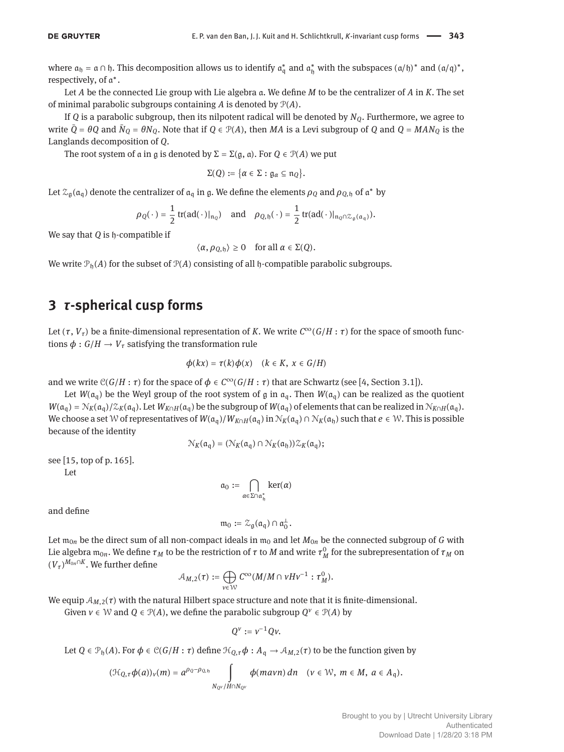where  $\mathfrak{a}_{\mathfrak{h}} = \mathfrak{a} \cap \mathfrak{h}$ . This decomposition allows us to identify  $\mathfrak{a}_{\mathfrak{q}}^*$  and  $\mathfrak{a}_{\mathfrak{h}}^*$  with the subspaces  $(\mathfrak{a}/\mathfrak{h})^*$  and  $(\mathfrak{a}/\mathfrak{q})^*$ , respectively, of a ∗ .

Let *A* be the connected Lie group with Lie algebra a. We define *M* to be the centralizer of *A* in *K*. The set of minimal parabolic subgroups containing *A* is denoted by P(*A*).

If *Q* is a parabolic subgroup, then its nilpotent radical will be denoted by *NQ*. Furthermore, we agree to write  $\bar{Q} = \theta Q$  and  $\bar{N}_Q = \theta N_Q$ . Note that if  $Q \in \mathcal{P}(A)$ , then  $MA$  is a Levi subgroup of  $Q$  and  $Q = MAN_Q$  is the Langlands decomposition of *Q*.

The root system of a in g is denoted by  $\Sigma = \Sigma(g, a)$ . For  $Q \in \mathcal{P}(A)$  we put

$$
\Sigma(Q) := \{\alpha \in \Sigma : \mathfrak{g}_{\alpha} \subseteq \mathfrak{n}_Q\}.
$$

Let  $\mathcal{Z}_{\mathfrak{g}}(\mathfrak{a}_{\mathfrak{q}})$  denote the centralizer of  $\mathfrak{a}_{\mathfrak{q}}$  in  $\mathfrak{g}$ . We define the elements  $\rho_Q$  and  $\rho_{Q,\mathfrak{h}}$  of  $\mathfrak{a}^*$  by

$$
\rho_Q(\,\cdot\,) = \frac{1}{2}\operatorname{tr}(\operatorname{ad}(\,\cdot\,)|_{\mathfrak{n}_Q}) \quad \text{and} \quad \rho_{Q,\mathfrak{h}}(\,\cdot\,) = \frac{1}{2}\operatorname{tr}(\operatorname{ad}(\,\cdot\,)|_{\mathfrak{n}_Q\cap\mathcal{Z}_{\mathfrak{g}}(\mathfrak{a}_q)}).
$$

We say that *Q* is h-compatible if

$$
\langle \alpha, \rho_{Q, \mathfrak{h}} \rangle \ge 0 \quad \text{for all } \alpha \in \Sigma(Q).
$$

We write  $\mathcal{P}_h(A)$  for the subset of  $\mathcal{P}(A)$  consisting of all h-compatible parabolic subgroups.

### <span id="page-2-0"></span>**3** *τ***-spherical cusp forms**

Let  $(\tau, V_{\tau})$  be a finite-dimensional representation of *K*. We write  $C^{\infty}(G/H : \tau)$  for the space of smooth functions  $\phi$  :  $G/H \rightarrow V_{\tau}$  satisfying the transformation rule

$$
\phi(kx)=\tau(k)\phi(x)\quad (k\in K,\; x\in G/H)
$$

and we write  $C(G/H : \tau)$  for the space of  $\phi \in C^{\infty}(G/H : \tau)$  that are Schwartz (see [\[4,](#page-8-1) Section 3.1]).

Let  $W(\mathfrak{a}_{q})$  be the Weyl group of the root system of g in  $\mathfrak{a}_{q}$ . Then  $W(\mathfrak{a}_{q})$  can be realized as the quotient  $W(\mathfrak{a}_{\mathfrak{q}}) = \mathcal{N}_K(\mathfrak{a}_{\mathfrak{q}})/\mathcal{Z}_K(\mathfrak{a}_{\mathfrak{q}})$ . Let  $W_{K\cap H}(\mathfrak{a}_{\mathfrak{q}})$  be the subgroup of  $W(\mathfrak{a}_{\mathfrak{q}})$  of elements that can be realized in  $\mathcal{N}_{K\cap H}(\mathfrak{a}_{\mathfrak{q}})$ . We choose a set W of representatives of  $W(a_q)/W_{K\cap H}(a_q)$  in  $\mathcal{N}_K(a_q) \cap \mathcal{N}_K(a_h)$  such that  $e \in \mathcal{W}$ . This is possible because of the identity

$$
\mathcal{N}_K(\mathfrak{a}_\mathfrak{q}) = (\mathcal{N}_K(\mathfrak{a}_\mathfrak{q}) \cap \mathcal{N}_K(\mathfrak{a}_\mathfrak{h})) \mathcal{Z}_K(\mathfrak{a}_\mathfrak{q});
$$

see [\[15,](#page-8-11) top of p. 165].

Let

$$
\mathfrak{a}_0 := \bigcap_{\alpha \in \Sigma \cap \mathfrak{a}^*_\mathfrak{h}} \ker(\alpha)
$$

and define

$$
\mathfrak{m}_0:=\mathcal{Z}_{\mathfrak{g}}(\mathfrak{a}_{\mathfrak{q}})\cap\mathfrak{a}_0^{\perp}.
$$

Let  $m_{0n}$  be the direct sum of all non-compact ideals in  $m_0$  and let  $M_{0n}$  be the connected subgroup of *G* with Lie algebra  $\mathfrak{m}_{0n}.$  We define  $\tau_M$  to be the restriction of  $\tau$  to  $M$  and write  $\tau_M^0$  for the subrepresentation of  $\tau_M$  on  $(V_{\tau})^{M_{0n} \cap K}$ . We further define

$$
\mathcal{A}_{M,2}(\tau) := \bigoplus_{v \in \mathcal{W}} C^{\infty}(M/M \cap vHv^{-1} : \tau_M^0).
$$

We equip  $A_{M,2}(\tau)$  with the natural Hilbert space structure and note that it is finite-dimensional.

Given  $v \in \mathcal{W}$  and  $Q \in \mathcal{P}(A)$ , we define the parabolic subgroup  $Q^v \in \mathcal{P}(A)$  by

$$
Q^v:=v^{-1}Qv.
$$

Let 
$$
Q \in \mathcal{P}_{\mathfrak{h}}(A)
$$
. For  $\phi \in \mathcal{C}(G/H : \tau)$  define  $\mathcal{H}_{Q,\tau}\phi : A_{\mathfrak{q}} \to \mathcal{A}_{M,2}(\tau)$  to be the function given by

$$
(\mathcal{H}_{Q,\tau}\phi(a))_v(m)=a^{\rho_Q-\rho_{Q,\mathfrak{h}}}\int_{N_{Q^\nu}/H\cap N_{Q^\nu}}\phi(maxn)\,dn\quad(v\in\mathcal{W},\;m\in M,\;a\in A_{\mathfrak{q}}).
$$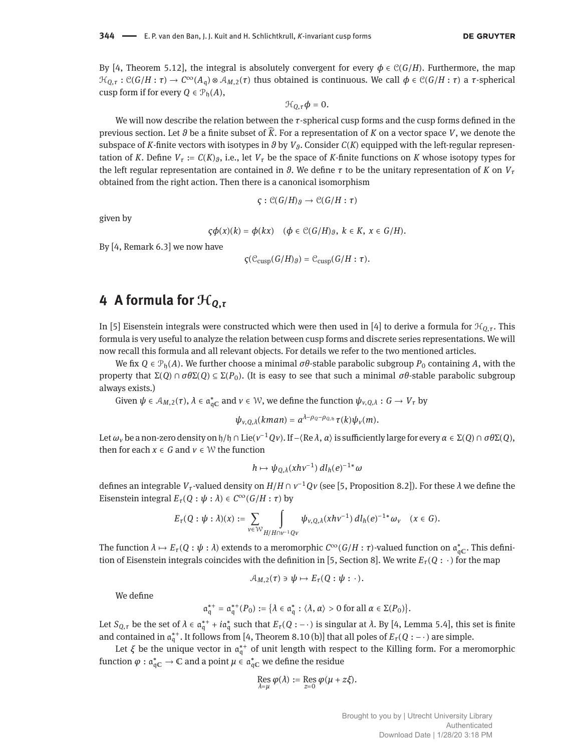By [\[4,](#page-8-1) Theorem 5.12], the integral is absolutely convergent for every  $\phi \in \mathcal{C}(G/H)$ . Furthermore, the map  $\mathcal{H}_{Q,\tau}: \mathcal{C}(G/H:\tau) \to \mathcal{C}^{\infty}(A_{\mathfrak{q}}) \otimes \mathcal{A}_{M,\mathfrak{q}}(\tau)$  thus obtained is continuous. We call  $\phi \in \mathcal{C}(G/H:\tau)$  a  $\tau$ -spherical cusp form if for every  $O \in \mathcal{P}_h(A)$ ,

$$
\mathcal{H}_{Q,\tau}\phi=0.
$$

We will now describe the relation between the *τ*-spherical cusp forms and the cusp forms defined in the previous section. Let *ϑ* be a finite subset of ̂*K*. For a representation of *K* on a vector space *V*, we denote the subspace of *K*-finite vectors with isotypes in  $\vartheta$  by  $V_{\vartheta}$ . Consider  $C(K)$  equipped with the left-regular representation of *K*. Define  $V<sub>\tau</sub> := C(K)_{\theta}$ , i.e., let  $V<sub>\tau</sub>$  be the space of *K*-finite functions on *K* whose isotopy types for the left regular representation are contained in *θ*. We define *τ* to be the unitary representation of *K* on  $V<sub>τ</sub>$ obtained from the right action. Then there is a canonical isomorphism

$$
\varsigma : \mathcal{C}(G/H)_{\vartheta} \to \mathcal{C}(G/H : \tau)
$$

given by

$$
\varsigma \phi(x)(k) = \phi(kx) \quad (\phi \in \mathcal{C}(G/H)_{\vartheta}, \ k \in K, \ x \in G/H).
$$

By [\[4,](#page-8-1) Remark 6.3] we now have

$$
\varsigma(\mathcal{C}_{\text{cusp}}(G/H)_{\vartheta})=\mathcal{C}_{\text{cusp}}(G/H:\tau).
$$

### <span id="page-3-0"></span>**4 A formula for** H*<sup>Q</sup>***,***<sup>τ</sup>*

In [\[5\]](#page-8-12) Eisenstein integrals were constructed which were then used in [\[4\]](#page-8-1) to derive a formula for  $\mathcal{H}_{Q,T}$ . This formula is very useful to analyze the relation between cusp forms and discrete series representations. We will now recall this formula and all relevant objects. For details we refer to the two mentioned articles.

We fix  $Q \in \mathcal{P}_h(A)$ . We further choose a minimal  $\sigma\theta$ -stable parabolic subgroup  $P_0$  containing A, with the property that  $\Sigma(Q) \cap \sigma \theta \Sigma(Q) \subseteq \Sigma(P_0)$ . (It is easy to see that such a minimal  $\sigma \theta$ -stable parabolic subgroup always exists.)

Given  $\psi \in A_{M,2}(\tau)$ ,  $\lambda \in \mathfrak{a}_{\mathfrak{q} \mathbb{C}}^*$  and  $\nu \in \mathcal{W}$ , we define the function  $\psi_{\nu,Q,\lambda}: G \to V_\tau$  by

$$
\psi_{v,Q,\lambda}(kman)=a^{\lambda-\rho_Q-\rho_{Q,\mathfrak{h}}}\tau(k)\psi_v(m).
$$

Let *ω<sup>v</sup>* be a non-zero density on h/h ∩ Lie(*v* <sup>−</sup>1*Qv*). If −⟨Re *λ*, *α*⟩ is sufficiently large for every *α* ∈ Σ(*Q*) ∩ *σθ*Σ(*Q*), then for each  $x \in G$  and  $v \in W$  the function

$$
h \mapsto \psi_{Q,\lambda}(xh\nu^{-1})\,dl_h(e)^{-1*}\omega
$$

defines an integrable *Vτ*-valued density on *H*/*H* ∩ *v* <sup>−</sup>1*Qv* (see [\[5,](#page-8-12) Proposition 8.2]). For these *λ* we define the *Eisenstein integral*  $E_{\tau}(Q : \psi : \lambda) \in C^{\infty}(G/H : \tau)$  by

$$
E_{\tau}(Q: \psi: \lambda)(x) := \sum_{v \in \mathcal{W}} \int_{H/H \cap v^{-1}Qv} \psi_{v,Q,\lambda}(xh v^{-1}) \, dl_h(e)^{-1*} \omega_v \quad (x \in G).
$$

The function  $\lambda \mapsto E_\tau(Q: \psi: \lambda)$  extends to a meromorphic  $C^\infty(G/H: \tau)$ -valued function on  $\mathfrak{a}^*_{\mathfrak{q}(\mathbb{C})}$ . This defini-tion of Eisenstein integrals coincides with the definition in [\[5,](#page-8-12) Section 8]. We write  $E_\tau(Q : \cdot)$  for the map

$$
\mathcal{A}_{M,2}(\tau) \ni \psi \mapsto E_{\tau}(Q: \psi: \cdot).
$$

We define

$$
\mathfrak{a}_{\mathfrak{q}}^{**} = \mathfrak{a}_{\mathfrak{q}}^{**}(P_0) := \{ \lambda \in \mathfrak{a}_{\mathfrak{q}}^* : \langle \lambda, \alpha \rangle > 0 \text{ for all } \alpha \in \Sigma(P_0) \}.
$$

Let  $S_{Q,\tau}$  be the set of  $\lambda \in \mathfrak{a}_\mathfrak{q}^{*+} + i\mathfrak{a}_\mathfrak{q}^*$  such that  $E_\tau(Q:-\cdot)$  is singular at  $\lambda$ . By [\[4,](#page-8-1) Lemma 5.4], this set is finite and contained in  $\alpha_q^{*+}$ . It follows from [\[4,](#page-8-1) Theorem 8.10 (b)] that all poles of  $E_\tau(Q:-\cdot)$  are simple.

Let  $\xi$  be the unique vector in  $\mathfrak{a}_{\mathfrak{q}}^{*+}$  of unit length with respect to the Killing form. For a meromorphic function  $\varphi : \mathfrak{a}_{\mathfrak{q} \mathbb{C}}^* \to \mathbb{C}$  and a point  $\mu \in \mathfrak{a}_{\mathfrak{q} \mathbb{C}}^*$  we define the residue

$$
\operatorname{Res}_{\lambda=\mu}\varphi(\lambda):=\operatorname{Res}_{z=0}\varphi(\mu+z\xi).
$$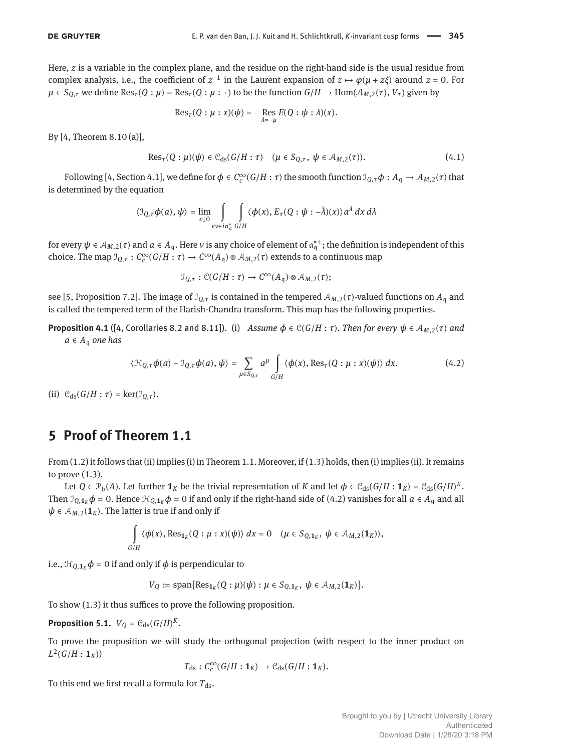Here, *z* is a variable in the complex plane, and the residue on the right-hand side is the usual residue from complex analysis, i.e., the coefficient of  $z^{-1}$  in the Laurent expansion of  $z \mapsto \varphi(\mu + z \xi)$  around  $z = 0$ . For  $\mu \in S_{Q,\tau}$  we define Res<sub>*τ*</sub>(*Q* :  $\mu$ ) = Res<sub>*τ*</sub>(*Q* :  $\mu$  : ·) to be the function  $G/H \to Hom(A_{M,2}(\tau), V_{\tau})$  given by

$$
\mathrm{Res}_\tau(Q:\mu:x)(\psi)=-\operatorname{Res}_{\lambda=-\mu}E(Q:\psi:\lambda)(x).
$$

By [\[4,](#page-8-1) Theorem 8.10 (a)],

<span id="page-4-3"></span>
$$
\operatorname{Res}_{\tau}(Q:\mu)(\psi) \in \mathcal{C}_{\operatorname{ds}}(G/H:\tau) \quad (\mu \in S_{Q,\tau}, \ \psi \in \mathcal{A}_{M,2}(\tau)).\tag{4.1}
$$

Following [\[4,](#page-8-1) Section 4.1], we define for  $\phi \in C_c^{\infty}(G/H:\tau)$  the smooth function  $\mathcal{I}_{Q,\tau}\phi:A_{\mathfrak{q}}\to \mathcal{A}_{M,2}(\tau)$  that is determined by the equation

$$
\langle \mathcal{I}_{Q,\tau} \phi(a), \psi \rangle = \lim_{\epsilon \downarrow 0} \int_{\epsilon \vee + i\mathfrak{a}_{\mathfrak{q}}^*} \int_{G/H} \langle \phi(x), E_{\tau}(Q : \psi : -\bar{\lambda})(x) \rangle a^{\lambda} dx d\lambda
$$

for every  $\psi \in A_{M,2}(\tau)$  and  $a \in A_q$ . Here  $\nu$  is any choice of element of  $\mathfrak{a}_q^{*+}$ ; the definition is independent of this choice. The map  $\mathcal{I}_{Q,\tau}: C_c^{\infty}(G/H:\tau) \to C^{\infty}(A_{\mathfrak{q}}) \otimes \mathcal{A}_{M,2}(\tau)$  extends to a continuous map

$$
\mathcal{I}_{Q,\tau} : \mathcal{C}(G/H : \tau) \to C^{\infty}(A_{\mathfrak{q}}) \otimes \mathcal{A}_{M,2}(\tau);
$$

see [\[5,](#page-8-12) Proposition 7.2]. The image of  $\mathcal{I}_{Q,\tau}$  is contained in the tempered  $\mathcal{A}_{M,2}(\tau)$ -valued functions on  $A_q$  and is called the tempered term of the Harish-Chandra transform. This map has the following properties.

<span id="page-4-4"></span>**Proposition 4.1** ([\[4,](#page-8-1) Corollaries 8.2 and 8.11]). (i) *Assume*  $\phi \in C(G/H : \tau)$ *. Then for every*  $\psi \in A_{M,2}(\tau)$  *and*  $a \in A_{\mathfrak{q}}$  *one has* 

<span id="page-4-1"></span>
$$
\langle \mathcal{H}_{Q,\tau}\phi(a) - \mathcal{I}_{Q,\tau}\phi(a), \psi \rangle = \sum_{\mu \in S_{Q,\tau}} a^{\mu} \int_{G/H} \langle \phi(x), \text{Res}_{\tau}(Q : \mu : x)(\psi) \rangle dx.
$$
 (4.2)

(ii)  $C_{ds}(G/H : \tau) = \text{ker}(\mathcal{I}_{Q,\tau}).$ 

#### <span id="page-4-0"></span>**5 Proof of Theorem [1.1](#page-1-2)**

From [\(1.2\)](#page-1-5) it follows that (ii) implies (i) in Theorem [1.1.](#page-1-2) Moreover, if [\(1.3\)](#page-1-1) holds, then (i) implies (ii). It remains to prove [\(1.3\)](#page-1-1).

Let  $Q \in \mathcal{P}_b(A)$ . Let further  $\mathbf{1}_K$  be the trivial representation of  $K$  and let  $\phi \in \mathcal{C}_{ds}(G/H: \mathbf{1}_K) = \mathcal{C}_{ds}(G/H)^K$ . Then  $\mathcal{I}_{Q,\mathbf{1}_K}\phi = 0$ . Hence  $\mathcal{H}_{Q,\mathbf{1}_K}\phi = 0$  if and only if the right-hand side of [\(4.2\)](#page-4-1) vanishes for all  $a \in A_q$  and all  $\psi \in A_{M,2}(\mathbf{1}_K)$ . The latter is true if and only if

$$
\int_{G/H} \langle \phi(x), \text{Res}_{1_K}(Q : \mu : x)(\psi) \rangle dx = 0 \quad (\mu \in S_{Q,1_K}, \ \psi \in \mathcal{A}_{M,2}(1_K)),
$$

i.e.,  $\mathcal{H}_{Q,1_K} \phi = 0$  if and only if  $\phi$  is perpendicular to

$$
V_Q := \text{span}\{\text{Res}_{\mathbf{1}_K}(Q : \mu)(\psi) : \mu \in S_{Q, \mathbf{1}_K}, \ \psi \in \mathcal{A}_{M, 2}(\mathbf{1}_K)\}.
$$

To show [\(1.3\)](#page-1-1) it thus suffices to prove the following proposition.

<span id="page-4-2"></span>**Proposition 5.1.**  $V_Q = \mathcal{C}_{ds}(G/H)^K$ .

To prove the proposition we will study the orthogonal projection (with respect to the inner product on  $L^2(G/H : \mathbf{1}_K))$ 

$$
T_{\mathrm{ds}}: C_c^{\infty}(G/H:\mathbf{1}_K)\to \mathcal{C}_{\mathrm{ds}}(G/H:\mathbf{1}_K).
$$

To this end we first recall a formula for  $T_{ds}$ .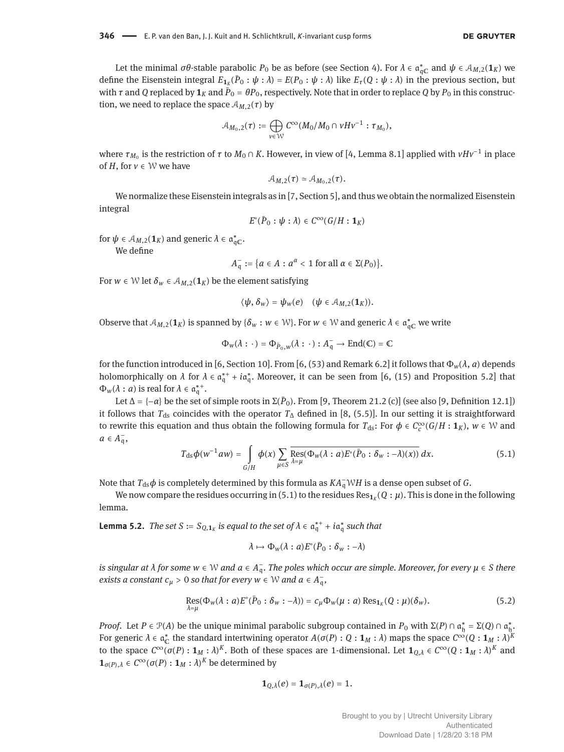Let the minimal  $\sigma\theta$ -stable parabolic  $P_0$  be as before (see Section [4\)](#page-3-0). For  $\lambda \in \mathfrak{a}_{\mathfrak{q}_\mathbb{C}}^*$  and  $\psi \in \mathcal{A}_{M,2}(\mathbf{1}_K)$  we define the Eisenstein integral  $E_{1_K}(\bar{P}_0:\psi:\lambda)=E(P_0:\psi:\lambda)$  like  $E_\tau(Q:\psi:\lambda)$  in the previous section, but with  $\tau$  and  $Q$  replaced by  $\pmb{1}_K$  and  $\bar{P}_0 = \theta P_0$ , respectively. Note that in order to replace  $Q$  by  $P_0$  in this construction, we need to replace the space  $A_{M,2}(\tau)$  by

$$
\mathcal{A}_{M_0,2}(\tau):=\bigoplus_{v\in\mathcal{W}}C^\infty(M_0/M_0\cap vHv^{-1}:\tau_{M_0}),
$$

where  $\tau_{M_0}$  is the restriction of  $\tau$  to  $M_0\cap K.$  However, in view of [\[4,](#page-8-1) Lemma 8.1] applied with  $vHv^{-1}$  in place of *H*, for  $v \in W$  we have

$$
\mathcal{A}_{M,2}(\tau) \simeq \mathcal{A}_{M_0,2}(\tau).
$$

We normalize these Eisenstein integrals as in [\[7,](#page-8-13) Section 5], and thus we obtain the normalized Eisenstein integral

$$
E^{\circ}(\bar{P}_0:\psi:\lambda)\in C^{\infty}(G/H:\mathbf{1}_K)
$$

for  $\psi \in A_{M,2}(\mathbf{1}_K)$  and generic  $\lambda \in \mathfrak{a}_{\mathfrak{q} \mathbb{C}}^*$ .

We define

$$
A_{\mathfrak{q}}^- := \{ a \in A : a^{\alpha} < 1 \text{ for all } \alpha \in \Sigma(P_0) \}.
$$

For  $w \in W$  let  $\delta_w \in A_{M,2}(\mathbf{1}_K)$  be the element satisfying

$$
\langle \psi, \delta_w \rangle = \psi_w(e) \quad (\psi \in \mathcal{A}_{M,2}(\mathbf{1}_K)).
$$

Observe that  $A_{M,2}(1_K)$  is spanned by  $\{\delta_w : w \in \mathcal{W}\}\)$ . For  $w \in \mathcal{W}$  and generic  $\lambda \in \mathfrak{a}_{\mathfrak{q} \mathbb{C}}^*$  we write

$$
\Phi_{w}(\lambda : \cdot) = \Phi_{\bar{P}_{0},w}(\lambda : \cdot) : A_{\mathfrak{q}}^{-} \to \text{End}(\mathbb{C}) = \mathbb{C}
$$

for the function introduced in [\[6,](#page-8-14) Section 10]. From [6, (53) and Remark 6.2] it follows that  $\Phi_w(\lambda, a)$  depends holomorphically on  $\lambda$  for  $\lambda \in \mathfrak{a}_{\mathfrak{q}}^{*+} + i\mathfrak{a}_{\mathfrak{q}}^{*}$ . Moreover, it can be seen from [\[6,](#page-8-14) (15) and Proposition 5.2] that  $\Phi_w(\lambda : a)$  is real for  $\lambda \in \mathfrak{a}_\mathfrak{q}^{*+}.$ 

Let  $\Delta = \{-\alpha\}$  be the set of simple roots in  $\Sigma(\bar{P}_0)$ . From [\[9,](#page-8-15) Theorem 21.2 (c)] (see also [9, Definition 12.1]) it follows that *T*<sub>ds</sub> coincides with the operator *T*<sub>∆</sub> defined in [\[8,](#page-8-16) (5.5)]. In our setting it is straightforward to rewrite this equation and thus obtain the following formula for  $T_{ds}$ : For  $\phi \in C_c^{\infty}(G/H : 1_K)$ ,  $w \in W$  and  $a \in A_{\mathfrak{q}}^-,$ 

<span id="page-5-0"></span>
$$
T_{\rm ds}\phi(w^{-1}aw) = \int\limits_{G/H} \phi(x) \sum\limits_{\mu \in S} \overline{\text{Res}(\Phi_{w}(\lambda : a)E^{\circ}(\bar{P}_{0} : \delta_{w} : -\lambda)(x))} dx.
$$
 (5.1)

Note that  $T_{ds}\phi$  is completely determined by this formula as  $KA_{\mathsf{q}}^{\neg}WH$  is a dense open subset of  $G$ .

We now compare the residues occurring in [\(5.1\)](#page-5-0) to the residues  $\text{Res}_{\mathbf{1}_K}(Q:\mu).$  This is done in the following lemma.

<span id="page-5-2"></span>**Lemma 5.2.** *The set*  $S := S_{Q,1_K}$  is equal to the set of  $\lambda \in \mathfrak{a}_\mathfrak{q}^{*+} + i\mathfrak{a}_\mathfrak{q}^*$  such that

$$
\lambda \mapsto \Phi_{w}(\lambda : a) E^{\circ}(\overline{P}_{0} : \delta_{w} : -\lambda)
$$

*is singular at λ for some w ∈ W and a ∈ A*<sub>q</sub>. The poles which occur are simple. Moreover, for every  $μ ∈ S$  there *exists a constant*  $c_{\mu} > 0$  *so that for every*  $w \in \mathbb{W}$  *and*  $a \in A_{q}^{-}$ ,

<span id="page-5-1"></span>
$$
\operatorname{Res}_{\lambda=\mu}(\Phi_w(\lambda:a)E^{\circ}(\bar{P}_0:\delta_w:-\lambda))=c_{\mu}\Phi_w(\mu:a)\operatorname{Res}_{1_K}(Q:\mu)(\delta_w).
$$
\n(5.2)

*Proof.* Let *P* ∈  $\mathcal{P}(A)$  be the unique minimal parabolic subgroup contained in *P*<sub>0</sub> with Σ(*P*) ∩  $\mathfrak{a}_{\mathfrak{h}}^* = \Sigma(Q) \cap \mathfrak{a}_{\mathfrak{h}}^*$ . For generic  $\lambda \in \mathfrak{a}_\mathbb{C}^*$  the standard intertwining operator  $A(\sigma(P):Q:\mathbf{1}_M:\lambda)$  maps the space  $C^\infty(Q:\mathbf{1}_M:\lambda)^K$ to the space  $C^\infty(\sigma(P): 1_M : \lambda)^K$ . Both of these spaces are 1-dimensional. Let  $1_{Q,\lambda} \in C^\infty(Q: 1_M : \lambda)^K$  and  $\mathbf{1}_{\sigma(P),\lambda} \in C^{\infty}(\sigma(P) : \mathbf{1}_M : \lambda)^K$  be determined by

$$
\mathbf{1}_{Q,\lambda}(e)=\mathbf{1}_{\sigma(P),\lambda}(e)=1.
$$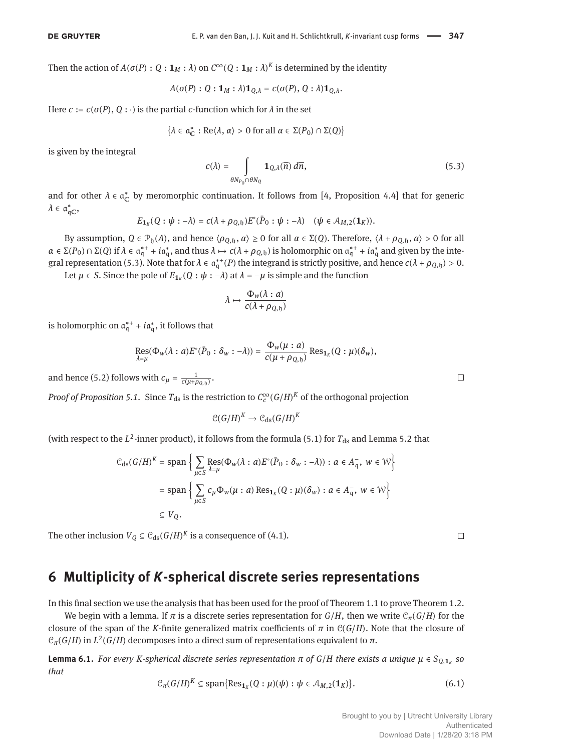Then the action of  $A(\sigma(P): Q:\mathbf{1}_M:\lambda)$  on  $C^\infty(Q:\mathbf{1}_M:\lambda)^K$  is determined by the identity

$$
A(\sigma(P): Q: \mathbf{1}_M: \lambda)\mathbf{1}_{Q,\lambda} = c(\sigma(P), Q: \lambda)\mathbf{1}_{Q,\lambda}.
$$

Here  $c := c(\sigma(P), Q : \cdot)$  is the partial *c*-function which for  $\lambda$  in the set

$$
\{\lambda \in \mathfrak{a}^*_{\mathbb{C}} : \text{Re}\langle \lambda, \alpha \rangle > 0 \text{ for all } \alpha \in \Sigma(P_0) \cap \Sigma(Q)\}
$$

is given by the integral

<span id="page-6-1"></span>
$$
c(\lambda) = \int_{\theta N_{P_0} \cap \theta N_Q} \mathbf{1}_{Q,\lambda}(\overline{n}) \, d\overline{n}, \tag{5.3}
$$

and for other  $\lambda \in \mathfrak{a}_\mathbb{C}^*$  by meromorphic continuation. It follows from [\[4,](#page-8-1) Proposition 4.4] that for generic  $\lambda \in \mathfrak{a}_{\mathfrak{q} \mathbb{C}}^*$ 

$$
E_{\mathbf{1}_K}(Q:\psi:-\lambda)=c(\lambda+\rho_{Q,\mathfrak{h}})E^{\circ}(\bar{P}_0:\psi:-\lambda)\quad(\psi\in\mathcal{A}_{M,2}(\mathbf{1}_K)).
$$

By assumption,  $Q \in \mathcal{P}_h(A)$ , and hence  $\langle \rho_{Q,h}, \alpha \rangle \ge 0$  for all  $\alpha \in \Sigma(Q)$ . Therefore,  $\langle \lambda + \rho_{Q,h}, \alpha \rangle > 0$  for all  $\alpha \in \Sigma(P_0) \cap \Sigma(Q)$  if  $\lambda \in \mathfrak{a}_\mathfrak{q}^{*+} + i\mathfrak{a}_\mathfrak{q}^*$ , and thus  $\lambda \mapsto c(\lambda + \rho_{Q,\mathfrak{h}})$  is holomorphic on  $\mathfrak{a}_\mathfrak{q}^{*+} + i\mathfrak{a}_\mathfrak{q}^*$  and given by the inte-gral representation [\(5.3\)](#page-6-1). Note that for  $\lambda \in \mathfrak{a}_\mathfrak{q}^{*+}(P)$  the integrand is strictly positive, and hence  $c(\lambda + \rho_{Q,\mathfrak{h}}) > 0$ .

Let  $\mu \in S$ . Since the pole of  $E_{\mathbf{1}_K}(Q: \psi: -\lambda)$  at  $\lambda = -\mu$  is simple and the function

$$
\lambda \mapsto \frac{\Phi_w(\lambda : a)}{c(\lambda + \rho_{Q, \mathfrak{h}})}
$$

is holomorphic on  $\mathfrak{a}_{\mathfrak{q}}^{*+} + i \mathfrak{a}_{\mathfrak{q}}^{*}$ , it follows that

$$
\operatorname*{Res}_{\lambda=\mu}(\Phi_{w}(\lambda:a)E^{\circ}(\bar{P}_{0}:\delta_{w}:-\lambda))=\frac{\Phi_{w}(\mu:a)}{c(\mu+\rho_{Q,\mathfrak{h}})}\operatorname*{Res}_{1_{K}}(Q:\mu)(\delta_{w}),
$$

and hence [\(5.2\)](#page-5-1) follows with  $c_{\mu} = \frac{1}{c(\mu + \rho_{Q,\mathfrak{h}})}$ .

*Proof of Proposition [5.1.](#page-4-2)* Since  $T_{ds}$  is the restriction to  $\mathcal{C}_c^\infty(G/H)^K$  of the orthogonal projection

 $\mathcal{C}(G/H)^K \to \mathcal{C}_{\text{ds}}(G/H)^K$ 

(with respect to the  $L^2$ -inner product), it follows from the formula [\(5.1\)](#page-5-0) for  $T_{ds}$  and Lemma [5.2](#page-5-2) that

$$
\mathcal{C}_{\mathrm{ds}}(G/H)^K = \mathrm{span}\left\{\sum_{\mu \in S} \mathrm{Res}_{\lambda = \mu}(\Phi_w(\lambda : a) E^{\circ}(\bar{P}_0 : \delta_w : -\lambda)) : a \in A_{\mathfrak{q}}^-, w \in \mathcal{W}\right\}
$$

$$
= \mathrm{span}\left\{\sum_{\mu \in S} c_{\mu} \Phi_w(\mu : a) \mathrm{Res}_{1_K}(Q : \mu)(\delta_w) : a \in A_{\mathfrak{q}}^-, w \in \mathcal{W}\right\}
$$

$$
\subseteq V_Q.
$$

The other inclusion  $V_Q \subseteq \mathcal{C}_{ds}(G/H)^K$  is a consequence of [\(4.1\)](#page-4-3).

#### <span id="page-6-0"></span>**6 Multiplicity of** *K***-spherical discrete series representations**

In this final section we use the analysis that has been used for the proof of Theorem [1.1](#page-1-2) to prove Theorem [1.2.](#page-1-4)

We begin with a lemma. If  $\pi$  is a discrete series representation for  $G/H$ , then we write  $\mathcal{C}_{\pi}(G/H)$  for the closure of the span of the *K*-finite generalized matrix coefficients of  $\pi$  in  $\mathcal{C}(G/H)$ . Note that the closure of  $\mathcal{C}_{\pi}(G/H)$  in  $L^2(G/H)$  decomposes into a direct sum of representations equivalent to  $\pi$ .

**Lemma 6.1.** *For every K-spherical discrete series representation π of G*/*H there exists a unique μ* ∈ *SQ*,**1***<sup>K</sup> so that*

<span id="page-6-2"></span>
$$
\mathcal{C}_{\pi}(G/H)^K \subseteq \text{span}\{\text{Res}_{\mathbf{1}_K}(Q:\mu)(\psi):\psi\in\mathcal{A}_{M,2}(\mathbf{1}_K)\}.
$$
 (6.1)

 $\Box$ 

 $\Box$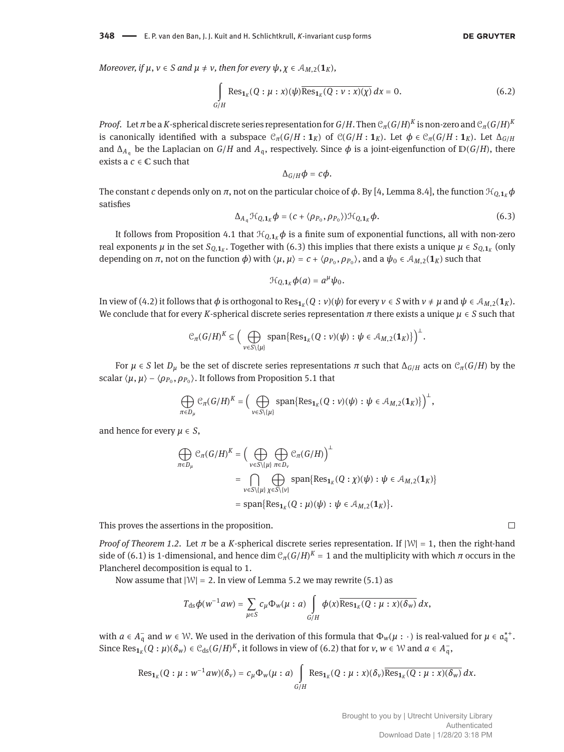$\Box$ 

*Moreover, if*  $\mu$ *,*  $\nu \in S$  *and*  $\mu \neq \nu$ *, then for every*  $\psi$ *,*  $\chi \in A_{M,2}(\mathbf{1}_K)$ *,* 

<span id="page-7-1"></span>
$$
\int_{G/H} \text{Res}_{\mathbf{1}_K}(Q:\mu:x)(\psi)\overline{\text{Res}_{\mathbf{1}_K}(Q:v:x)(\chi)}\,dx = 0. \tag{6.2}
$$

*Proof.* Let  $\pi$  be a  $K$ -spherical discrete series representation for  $G/H$ . Then  $\mathcal{C}_\pi(G/H)^K$  is non-zero and  $\mathcal{C}_\pi(G/H)^K$ is canonically identified with a subspace  $\mathcal{C}_{\pi}(G/H : 1_K)$  of  $\mathcal{C}(G/H : 1_K)$ . Let  $\phi \in \mathcal{C}_{\pi}(G/H : 1_K)$ . Let  $\Delta_{G/H}$ and  $\Delta_{A_\alpha}$  be the Laplacian on *G*/*H* and  $A_\alpha$ , respectively. Since  $\phi$  is a joint-eigenfunction of  $D(G/H)$ , there exists a  $c \in \mathbb{C}$  such that

$$
\Delta_{G/H}\phi=c\phi.
$$

The constant *c* depends only on  $\pi$ , not on the particular choice of  $\phi$ . By [\[4,](#page-8-1) Lemma 8.4], the function  $\mathcal{H}_{Q,1k}\phi$ satisfies

<span id="page-7-0"></span>
$$
\Delta_{A_{q}}\mathcal{H}_{Q,\mathbf{1}_{K}}\boldsymbol{\phi}=(c+\langle\rho_{P_{0}},\rho_{P_{0}}\rangle)\mathcal{H}_{Q,\mathbf{1}_{K}}\boldsymbol{\phi}.
$$
\n(6.3)

.

It follows from Proposition [4.1](#page-4-4) that  $\mathcal{H}_{Q,1k}\phi$  is a finite sum of exponential functions, all with non-zero real exponents  $\mu$  in the set  $S_{Q,\bm 1_K}$ . Together with [\(6.3\)](#page-7-0) this implies that there exists a unique  $\mu\in S_{Q,\bm 1_K}$  (only depending on  $\pi$ , not on the function  $\phi$ ) with  $\langle \mu, \mu \rangle = c + \langle \rho_{P_0}, \rho_{P_0} \rangle$ , and a  $\psi_0 \in A_{M,2}(1_K)$  such that

$$
\mathcal{H}_{Q,\mathbf{1}_K}\phi(a)=a^\mu\psi_0.
$$

In view of [\(4.2\)](#page-4-1) it follows that  $\phi$  is orthogonal to Res $_{1_K}(Q:v)(\psi)$  for every  $v\in S$  with  $v\neq\mu$  and  $\psi\in\mathcal{A}_{M,2}(1_K).$ We conclude that for every *K*-spherical discrete series representation *π* there exists a unique *μ* ∈ *S* such that

$$
\mathcal{C}_{\pi}(G/H)^K \subseteq \Big(\bigoplus_{v \in S\backslash \{\mu\}}\text{span}\{\text{Res}_{\mathbf{1}_K}(Q: v)(\psi): \psi \in \mathcal{A}_{M,2}(\mathbf{1}_K)\}\Big)^{\perp}
$$

For *μ* ∈ *S* let *D<sub><i>μ*</sub> be the set of discrete series representations *π* such that  $\Delta_{G/H}$  acts on  $\mathcal{C}_{\pi}(G/H)$  by the scalar  $\langle \mu, \mu \rangle - \langle \rho_{P_0}, \rho_{P_0} \rangle$ . It follows from Proposition [5.1](#page-4-2) that

$$
\bigoplus_{\pi\in D_\mu} \mathcal{C}_\pi(G/H)^K = \Big(\bigoplus_{v\in S\setminus\{\mu\}}\text{span}\{\text{Res}_{\mathbf{1}_K}(Q:v)(\psi):\psi\in\mathcal{A}_{M,2}(\mathbf{1}_K)\}\Big)^{\perp},
$$

and hence for every  $\mu \in S$ ,

$$
\bigoplus_{\pi \in D_{\mu}} \mathcal{C}_{\pi}(G/H)^{K} = \Big( \bigoplus_{\nu \in S \setminus \{\mu\}} \bigoplus_{\pi \in D_{\nu}} \mathcal{C}_{\pi}(G/H) \Big)^{\perp}
$$
\n
$$
= \bigcap_{\nu \in S \setminus \{\mu\}} \bigoplus_{\chi \in S \setminus \{\nu\}} \text{span}\{\text{Res}_{\mathbf{1}_{K}}(Q : \chi)(\psi) : \psi \in \mathcal{A}_{M,2}(\mathbf{1}_{K})\}
$$
\n
$$
= \text{span}\{\text{Res}_{\mathbf{1}_{K}}(Q : \mu)(\psi) : \psi \in \mathcal{A}_{M,2}(\mathbf{1}_{K})\}.
$$

This proves the assertions in the proposition.

*Proof of Theorem [1.2.](#page-1-4)* Let *π* be a *K*-spherical discrete series representation. If |W| = 1, then the right-hand side of [\(6.1\)](#page-6-2) is 1-dimensional, and hence dim  $\mathcal{C}_\pi(G/H)^K=1$  and the multiplicity with which  $\pi$  occurs in the Plancherel decomposition is equal to 1.

Now assume that  $|W| = 2$ . In view of Lemma [5.2](#page-5-2) we may rewrite [\(5.1\)](#page-5-0) as

$$
T_{\rm ds}\phi(w^{-1}aw)=\sum_{\mu\in S}c_{\mu}\Phi_w(\mu:a)\int\limits_{G/H}\phi(x)\overline{\text{Res}_{1_K}(Q:\mu:x)(\delta_w)}\,dx,
$$

with  $a \in A_{\mathfrak{q}}^-$  and  $w \in \mathcal{W}$ . We used in the derivation of this formula that  $\Phi_w(\mu : \cdot)$  is real-valued for  $\mu \in \mathfrak{a}_{\mathfrak{q}}^{*+}$ . Since  $\text{Res}_{1_K}(Q:\mu)(\delta_w) \in C_{ds}(G/H)^K$ , it follows in view of [\(6.2\)](#page-7-1) that for  $v, w \in W$  and  $a \in A_q^-$ ,

$$
\operatorname{Res}_{\mathbf{1}_K}(Q:\mu:w^{-1}aw)(\delta_v)=c_\mu\Phi_w(\mu:a)\int\limits_{G/H}\operatorname{Res}_{\mathbf{1}_K}(Q:\mu:x)(\delta_v)\overline{\operatorname{Res}_{\mathbf{1}_K}(Q:\mu:x)(\delta_w)}\,dx.
$$